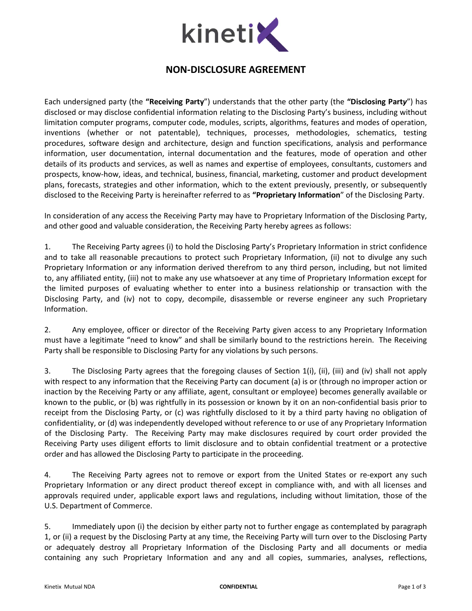

## NON-DISCLOSURE AGREEMENT

Each undersigned party (the "Receiving Party") understands that the other party (the "Disclosing Party") has disclosed or may disclose confidential information relating to the Disclosing Party's business, including without limitation computer programs, computer code, modules, scripts, algorithms, features and modes of operation, inventions (whether or not patentable), techniques, processes, methodologies, schematics, testing procedures, software design and architecture, design and function specifications, analysis and performance information, user documentation, internal documentation and the features, mode of operation and other details of its products and services, as well as names and expertise of employees, consultants, customers and prospects, know-how, ideas, and technical, business, financial, marketing, customer and product development plans, forecasts, strategies and other information, which to the extent previously, presently, or subsequently disclosed to the Receiving Party is hereinafter referred to as "Proprietary Information" of the Disclosing Party.

In consideration of any access the Receiving Party may have to Proprietary Information of the Disclosing Party, and other good and valuable consideration, the Receiving Party hereby agrees as follows:

1. The Receiving Party agrees (i) to hold the Disclosing Party's Proprietary Information in strict confidence and to take all reasonable precautions to protect such Proprietary Information, (ii) not to divulge any such Proprietary Information or any information derived therefrom to any third person, including, but not limited to, any affiliated entity, (iii) not to make any use whatsoever at any time of Proprietary Information except for the limited purposes of evaluating whether to enter into a business relationship or transaction with the Disclosing Party, and (iv) not to copy, decompile, disassemble or reverse engineer any such Proprietary Information.

2. Any employee, officer or director of the Receiving Party given access to any Proprietary Information must have a legitimate "need to know" and shall be similarly bound to the restrictions herein. The Receiving Party shall be responsible to Disclosing Party for any violations by such persons.

3. The Disclosing Party agrees that the foregoing clauses of Section 1(i), (ii), (iii) and (iv) shall not apply with respect to any information that the Receiving Party can document (a) is or (through no improper action or inaction by the Receiving Party or any affiliate, agent, consultant or employee) becomes generally available or known to the public, or (b) was rightfully in its possession or known by it on an non-confidential basis prior to receipt from the Disclosing Party, or (c) was rightfully disclosed to it by a third party having no obligation of confidentiality, or (d) was independently developed without reference to or use of any Proprietary Information of the Disclosing Party. The Receiving Party may make disclosures required by court order provided the Receiving Party uses diligent efforts to limit disclosure and to obtain confidential treatment or a protective order and has allowed the Disclosing Party to participate in the proceeding.

4. The Receiving Party agrees not to remove or export from the United States or re-export any such Proprietary Information or any direct product thereof except in compliance with, and with all licenses and approvals required under, applicable export laws and regulations, including without limitation, those of the U.S. Department of Commerce.

5. Immediately upon (i) the decision by either party not to further engage as contemplated by paragraph 1, or (ii) a request by the Disclosing Party at any time, the Receiving Party will turn over to the Disclosing Party or adequately destroy all Proprietary Information of the Disclosing Party and all documents or media containing any such Proprietary Information and any and all copies, summaries, analyses, reflections,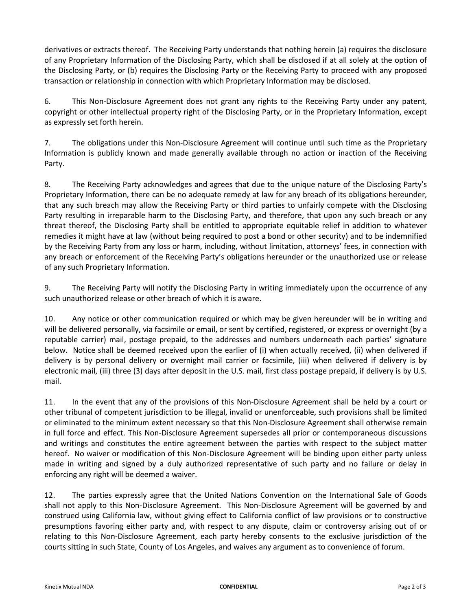derivatives or extracts thereof. The Receiving Party understands that nothing herein (a) requires the disclosure of any Proprietary Information of the Disclosing Party, which shall be disclosed if at all solely at the option of the Disclosing Party, or (b) requires the Disclosing Party or the Receiving Party to proceed with any proposed transaction or relationship in connection with which Proprietary Information may be disclosed.

6. This Non-Disclosure Agreement does not grant any rights to the Receiving Party under any patent, copyright or other intellectual property right of the Disclosing Party, or in the Proprietary Information, except as expressly set forth herein.

7. The obligations under this Non-Disclosure Agreement will continue until such time as the Proprietary Information is publicly known and made generally available through no action or inaction of the Receiving Party.

8. The Receiving Party acknowledges and agrees that due to the unique nature of the Disclosing Party's Proprietary Information, there can be no adequate remedy at law for any breach of its obligations hereunder, that any such breach may allow the Receiving Party or third parties to unfairly compete with the Disclosing Party resulting in irreparable harm to the Disclosing Party, and therefore, that upon any such breach or any threat thereof, the Disclosing Party shall be entitled to appropriate equitable relief in addition to whatever remedies it might have at law (without being required to post a bond or other security) and to be indemnified by the Receiving Party from any loss or harm, including, without limitation, attorneys' fees, in connection with any breach or enforcement of the Receiving Party's obligations hereunder or the unauthorized use or release of any such Proprietary Information.

9. The Receiving Party will notify the Disclosing Party in writing immediately upon the occurrence of any such unauthorized release or other breach of which it is aware.

10. Any notice or other communication required or which may be given hereunder will be in writing and will be delivered personally, via facsimile or email, or sent by certified, registered, or express or overnight (by a reputable carrier) mail, postage prepaid, to the addresses and numbers underneath each parties' signature below. Notice shall be deemed received upon the earlier of (i) when actually received, (ii) when delivered if delivery is by personal delivery or overnight mail carrier or facsimile, (iii) when delivered if delivery is by electronic mail, (iii) three (3) days after deposit in the U.S. mail, first class postage prepaid, if delivery is by U.S. mail.

11. In the event that any of the provisions of this Non-Disclosure Agreement shall be held by a court or other tribunal of competent jurisdiction to be illegal, invalid or unenforceable, such provisions shall be limited or eliminated to the minimum extent necessary so that this Non-Disclosure Agreement shall otherwise remain in full force and effect. This Non-Disclosure Agreement supersedes all prior or contemporaneous discussions and writings and constitutes the entire agreement between the parties with respect to the subject matter hereof. No waiver or modification of this Non-Disclosure Agreement will be binding upon either party unless made in writing and signed by a duly authorized representative of such party and no failure or delay in enforcing any right will be deemed a waiver.

12. The parties expressly agree that the United Nations Convention on the International Sale of Goods shall not apply to this Non-Disclosure Agreement. This Non-Disclosure Agreement will be governed by and construed using California law, without giving effect to California conflict of law provisions or to constructive presumptions favoring either party and, with respect to any dispute, claim or controversy arising out of or relating to this Non-Disclosure Agreement, each party hereby consents to the exclusive jurisdiction of the courts sitting in such State, County of Los Angeles, and waives any argument as to convenience of forum.